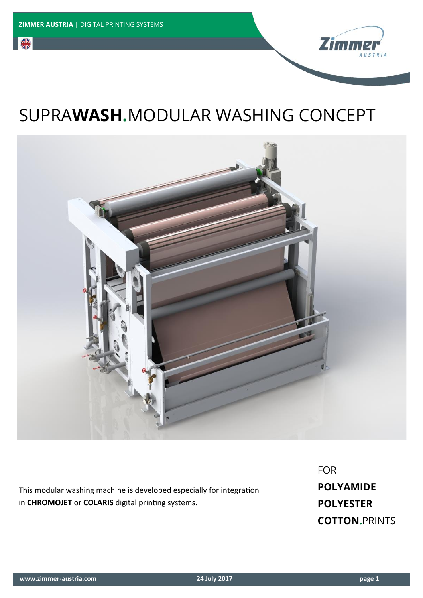**SIE** 



## SUPRA**WASH.**MODULAR WASHING CONCEPT



This modular washing machine is developed especially for integration in **CHROMOJET** or **COLARIS** digital printing systems.

FOR **POLYAMIDE POLYESTER COTTON.**PRINTS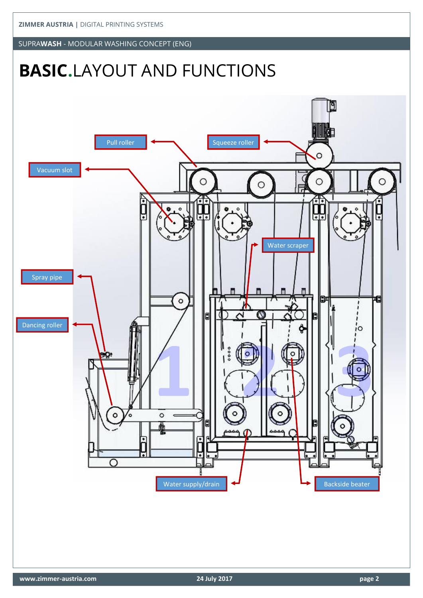SUPRA**WASH** - MODULAR WASHING CONCEPT (ENG)

# **BASIC.**LAYOUT AND FUNCTIONS

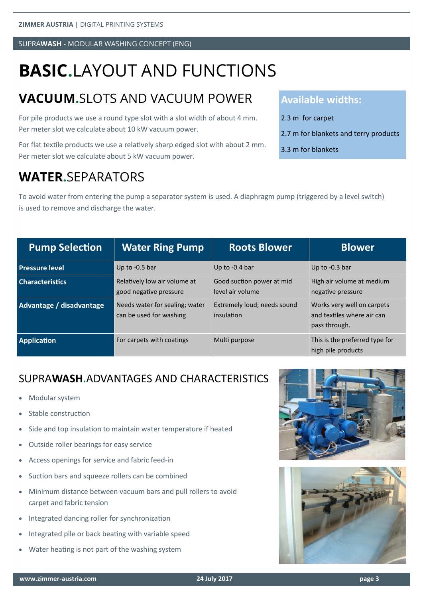SUPRA**WASH** - MODULAR WASHING CONCEPT (ENG)

# **BASIC.**LAYOUT AND FUNCTIONS

## **VACUUM.**SLOTS AND VACUUM POWER

For pile products we use a round type slot with a slot width of about 4 mm. Per meter slot we calculate about 10 kW vacuum power.

For flat textile products we use a relatively sharp edged slot with about 2 mm. Per meter slot we calculate about 5 kW vacuum power.

#### **WATER.**SEPARATORS

To avoid water from entering the pump a separator system is used. A diaphragm pump (triggered by a level switch) is used to remove and discharge the water.

| <b>Pump Selection</b>    | <b>Water Ring Pump</b>                                    | <b>Roots Blower</b>                           | <b>Blower</b>                                                             |
|--------------------------|-----------------------------------------------------------|-----------------------------------------------|---------------------------------------------------------------------------|
| <b>Pressure level</b>    | Up to -0.5 bar                                            | Up to -0.4 bar                                | Up to -0.3 bar                                                            |
| <b>Characteristics</b>   | Relatively low air volume at<br>good negative pressure    | Good suction power at mid<br>level air volume | High air volume at medium<br>negative pressure                            |
| Advantage / disadvantage | Needs water for sealing; water<br>can be used for washing | Extremely loud; needs sound<br>insulation     | Works very well on carpets<br>and textiles where air can<br>pass through. |
| <b>Application</b>       | For carpets with coatings                                 | Multi purpose                                 | This is the preferred type for<br>high pile products                      |

#### SUPRA**WASH.**ADVANTAGES AND CHARACTERISTICS

- Modular system
- Stable construction
- Side and top insulation to maintain water temperature if heated
- Outside roller bearings for easy service
- Access openings for service and fabric feed-in
- Suction bars and squeeze rollers can be combined
- Minimum distance between vacuum bars and pull rollers to avoid carpet and fabric tension
- Integrated dancing roller for synchronization
- Integrated pile or back beating with variable speed
- Water heating is not part of the washing system





#### **Available widths:**

- 2.3 m for carpet
- 2.7 m for blankets and terry products
- 3.3 m for blankets